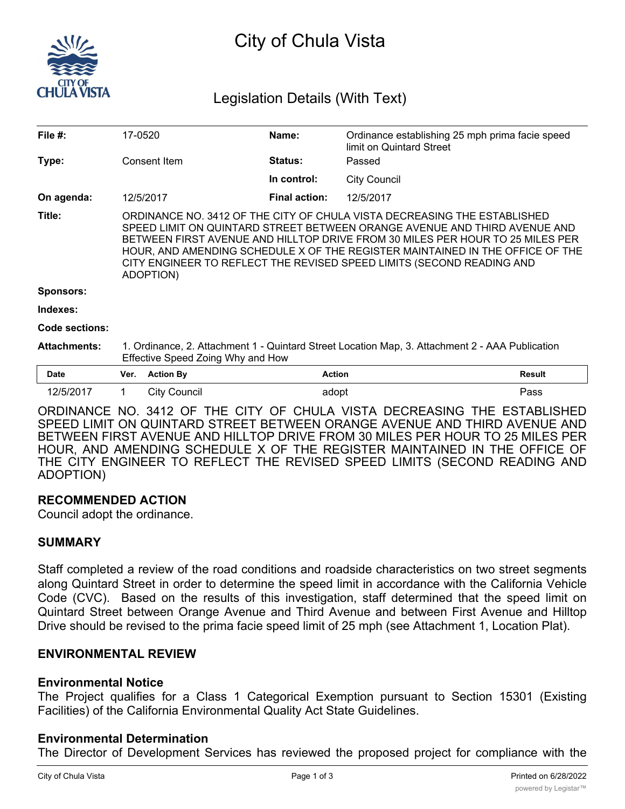

# City of Chula Vista

# Legislation Details (With Text)

| File $#$ :          | 17-0520                                                                                                                                                                                                                                                                                                                                                                                                       |                     | Name:                | Ordinance establishing 25 mph prima facie speed<br>limit on Quintard Street |        |
|---------------------|---------------------------------------------------------------------------------------------------------------------------------------------------------------------------------------------------------------------------------------------------------------------------------------------------------------------------------------------------------------------------------------------------------------|---------------------|----------------------|-----------------------------------------------------------------------------|--------|
| Type:               |                                                                                                                                                                                                                                                                                                                                                                                                               | Consent Item        | Status:              | Passed                                                                      |        |
|                     |                                                                                                                                                                                                                                                                                                                                                                                                               |                     | In control:          | <b>City Council</b>                                                         |        |
| On agenda:          |                                                                                                                                                                                                                                                                                                                                                                                                               | 12/5/2017           | <b>Final action:</b> | 12/5/2017                                                                   |        |
| Title:              | ORDINANCE NO. 3412 OF THE CITY OF CHULA VISTA DECREASING THE ESTABLISHED<br>SPEED LIMIT ON QUINTARD STREET BETWEEN ORANGE AVENUE AND THIRD AVENUE AND<br>BETWEEN FIRST AVENUE AND HILLTOP DRIVE FROM 30 MILES PER HOUR TO 25 MILES PER<br>HOUR, AND AMENDING SCHEDULE X OF THE REGISTER MAINTAINED IN THE OFFICE OF THE<br>CITY ENGINEER TO REFLECT THE REVISED SPEED LIMITS (SECOND READING AND<br>ADOPTION) |                     |                      |                                                                             |        |
| <b>Sponsors:</b>    |                                                                                                                                                                                                                                                                                                                                                                                                               |                     |                      |                                                                             |        |
| Indexes:            |                                                                                                                                                                                                                                                                                                                                                                                                               |                     |                      |                                                                             |        |
| Code sections:      |                                                                                                                                                                                                                                                                                                                                                                                                               |                     |                      |                                                                             |        |
| <b>Attachments:</b> | 1. Ordinance, 2. Attachment 1 - Quintard Street Location Map, 3. Attachment 2 - AAA Publication<br>Effective Speed Zoing Why and How                                                                                                                                                                                                                                                                          |                     |                      |                                                                             |        |
| <b>Date</b>         | Ver.                                                                                                                                                                                                                                                                                                                                                                                                          | <b>Action By</b>    | <b>Action</b>        |                                                                             | Result |
| 12/5/2017           |                                                                                                                                                                                                                                                                                                                                                                                                               | <b>City Council</b> | adopt                |                                                                             | Pass   |

ORDINANCE NO. 3412 OF THE CITY OF CHULA VISTA DECREASING THE ESTABLISHED SPEED LIMIT ON QUINTARD STREET BETWEEN ORANGE AVENUE AND THIRD AVENUE AND BETWEEN FIRST AVENUE AND HILLTOP DRIVE FROM 30 MILES PER HOUR TO 25 MILES PER HOUR, AND AMENDING SCHEDULE X OF THE REGISTER MAINTAINED IN THE OFFICE OF THE CITY ENGINEER TO REFLECT THE REVISED SPEED LIMITS (SECOND READING AND ADOPTION)

#### **RECOMMENDED ACTION**

Council adopt the ordinance.

#### **SUMMARY**

Staff completed a review of the road conditions and roadside characteristics on two street segments along Quintard Street in order to determine the speed limit in accordance with the California Vehicle Code (CVC). Based on the results of this investigation, staff determined that the speed limit on Quintard Street between Orange Avenue and Third Avenue and between First Avenue and Hilltop Drive should be revised to the prima facie speed limit of 25 mph (see Attachment 1, Location Plat).

# **ENVIRONMENTAL REVIEW**

#### **Environmental Notice**

The Project qualifies for a Class 1 Categorical Exemption pursuant to Section 15301 (Existing Facilities) of the California Environmental Quality Act State Guidelines.

#### **Environmental Determination**

The Director of Development Services has reviewed the proposed project for compliance with the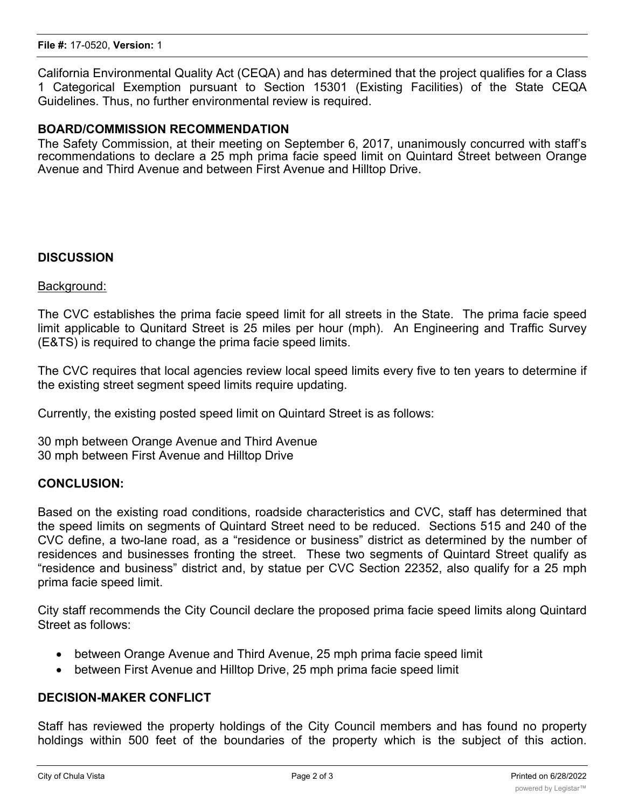California Environmental Quality Act (CEQA) and has determined that the project qualifies for a Class 1 Categorical Exemption pursuant to Section 15301 (Existing Facilities) of the State CEQA Guidelines. Thus, no further environmental review is required.

#### **BOARD/COMMISSION RECOMMENDATION**

The Safety Commission, at their meeting on September 6, 2017, unanimously concurred with staff's recommendations to declare a 25 mph prima facie speed limit on Quintard Street between Orange Avenue and Third Avenue and between First Avenue and Hilltop Drive.

#### **DISCUSSION**

Background:

The CVC establishes the prima facie speed limit for all streets in the State. The prima facie speed limit applicable to Qunitard Street is 25 miles per hour (mph). An Engineering and Traffic Survey (E&TS) is required to change the prima facie speed limits.

The CVC requires that local agencies review local speed limits every five to ten years to determine if the existing street segment speed limits require updating.

Currently, the existing posted speed limit on Quintard Street is as follows:

30 mph between Orange Avenue and Third Avenue 30 mph between First Avenue and Hilltop Drive

#### **CONCLUSION:**

Based on the existing road conditions, roadside characteristics and CVC, staff has determined that the speed limits on segments of Quintard Street need to be reduced. Sections 515 and 240 of the CVC define, a two-lane road, as a "residence or business" district as determined by the number of residences and businesses fronting the street. These two segments of Quintard Street qualify as "residence and business" district and, by statue per CVC Section 22352, also qualify for a 25 mph prima facie speed limit.

City staff recommends the City Council declare the proposed prima facie speed limits along Quintard Street as follows:

- · between Orange Avenue and Third Avenue, 25 mph prima facie speed limit
- between First Avenue and Hilltop Drive, 25 mph prima facie speed limit

## **DECISION-MAKER CONFLICT**

Staff has reviewed the property holdings of the City Council members and has found no property holdings within 500 feet of the boundaries of the property which is the subject of this action.